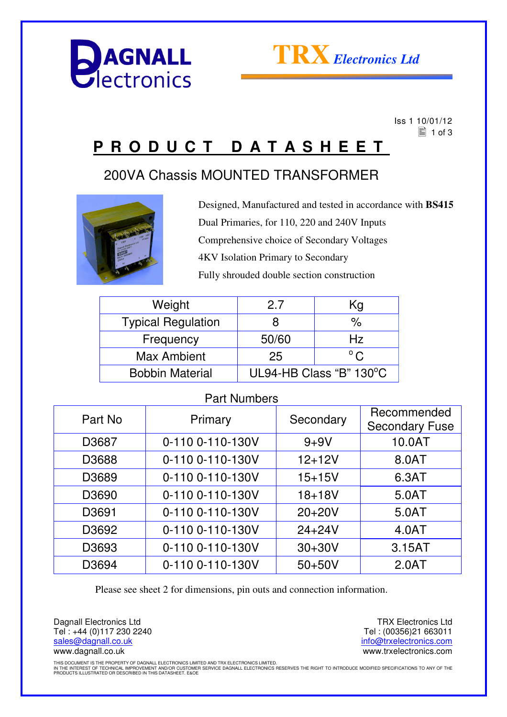



 Iss 1 10/01/12  $\equiv$  1 of 3

## **P R O D U C T D A T A S H E E T**

## 200VA Chassis MOUNTED TRANSFORMER



Designed, Manufactured and tested in accordance with **BS415** Dual Primaries, for 110, 220 and 240V Inputs Comprehensive choice of Secondary Voltages 4KV Isolation Primary to Secondary Fully shrouded double section construction

| Weight                    | 2.7                     | Kg            |
|---------------------------|-------------------------|---------------|
| <b>Typical Regulation</b> | 8                       | %             |
| Frequency                 | 50/60                   | Hz            |
| <b>Max Ambient</b>        | 25                      | $^{\circ}$ C. |
| <b>Bobbin Material</b>    | UL94-HB Class "B" 130°C |               |

### Part Numbers

| Part No | Primary          | Secondary  | Recommended<br><b>Secondary Fuse</b> |
|---------|------------------|------------|--------------------------------------|
| D3687   | 0-110 0-110-130V | $9 + 9V$   | 10.0AT                               |
| D3688   | 0-110 0-110-130V | $12 + 12V$ | 8.0AT                                |
| D3689   | 0-110 0-110-130V | $15 + 15V$ | 6.3AT                                |
| D3690   | 0-110 0-110-130V | $18 + 18V$ | 5.0AT                                |
| D3691   | 0-110 0-110-130V | $20+20V$   | 5.0AT                                |
| D3692   | 0-110 0-110-130V | $24 + 24V$ | 4.0AT                                |
| D3693   | 0-110 0-110-130V | $30 + 30V$ | 3.15AT                               |
| D3694   | 0-110 0-110-130V | $50+50V$   | 2.0AT                                |

Please see sheet 2 for dimensions, pin outs and connection information.

Dagnall Electronics Ltd Tel : +44 (0)117 230 2240 sales@dagnall.co.uk www.dagnall.co.uk

TRX Electronics Ltd Tel : (00356)21 663011 info@trxelectronics.com www.trxelectronics.com

THIS DOCUMENT IS THE PROPERTY OF DAGNALL ELECTRONICS LIMITED AND TRX ELECTRONICS LIMITED.<br>IN THE INTEREST OF TECHNICAL IMPROVEMENT AND/OR CUSTOMER SERVICE DAGNALL ELECTRONICS RESERVES THE RIGHT TO INTRODUCE MODIFIED SPECIF PRODUCTS ILLUSTRATED OR DESCRIBED IN THIS DATASHEET. E&OE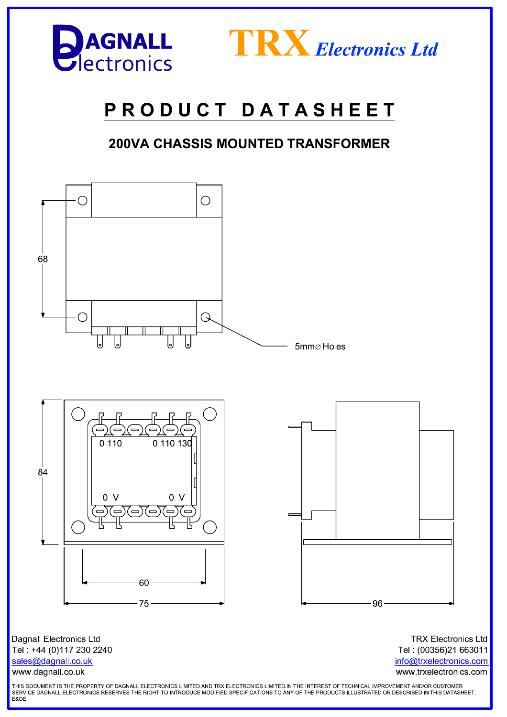



# PRODUCT DATASHEET

## **200VA CHASSIS MOUNTED TRANSFORMER**



sales@dagnall.co.uk

www.dagnall.co.uk

Tel: (00356)21 663011 info@trxelectronics.com www.trxelectronics.com

THIS DOCUMENT IS THE PROPERTY OF DAGNALL ELECTRONICS LIMITED AND TRX ELECTRONICS LIMITED.IN THE INTEREST OF TECHNICAL IMPROVEMENT AND/OR CUSTOMER SERVICE DAGNALL ELECTRONICS RESERVES THE RIGHT TO INTRODUCE MODIFIED SPECIFICATIONS TO ANY OF THE PRODUCTS ILLUSTRATED OR DESCRIBED IN THIS DATASHEET.<br>E&OE